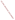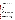# **Technical Factsheet on: BARIUM**

[List of Contaminants](http://www.epa.gov/safewater/hfacts.html) 

 As part of the Drinking Water and Health pages, this fact sheet is part of a larger publication: **National Primary Drinking Water Regulations** 

## **Drinking Water Standards**

 MCL: 2 mg/l MCLG: 2 mg/l HAL(child): none

## **Health Effects Summary**

 resulting from acute exposures at levels above the MCL. No Health Advisories have been established for Acute: EPA has found barium to potentially cause gastrointestinal disturbances and muscular weakness short-term exposures.

 above the MCL. Chronic: Barium has the potential to cause hypertension resulting from long-term exposures at levels

 drinking water. Cancer: There is no evidence that barium has the potential to cause cancer from lifetime exposures in

#### **Usage Patterns**

 television picture tubes. It is also used to improve performance of lead alloy grids of acid batteries; as a The largest end use of barium metal is as a "getter" to remove the last traces of gases from vacuum and component of grey and ductile irons; in the manufacture of steel, copper and other metals; as a loader for paper, soap, rubber and linoleum.

 Barium peroxide is used as a bleach, in dyes, fireworks and tracer-bullets, in igniter and welding materials, and in manufacture of hydrogen peroxide and oxygen. The permanganate is used as a dry cell depolarizer and in disinfectants.

 Barium nitrate is used in fireworks, ceramic glazes, electronics, tracer bullets, detonators, and neon sign lights. Barium cyanide is used in electroplating and metallurgy. Barium chlorate is used in fireworks, explosives, matches, and as a mordant in dyeing.

 Barium carbonate is used as follows: 45 percent as ingredient in glass, 25 percent in brick and clay products, 7 percent as a raw material for barium ferrites, 4 percent in photographic paper coatings, 19 percent other.

objects from deterioration. Barium hydroxide is used in lubricating oils and greases and as a component of detergents in motor oils. It is also used in plastics stabilizers, papermaking additives, sealing compounds, vulcanization accelerators, pigment dispersants and self-extinguishing polyurethane foams and to protect limestone

 manufacture and in water softening. Barium-based dyes are widely used in inks, paints, cosmetics and Barium chloride is used in pigments, glass, dyeing, leather tanning, chlorine and sodium hydroxide drugs.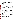Over 65% of barite produced was used as a weighting agent in oil and gas well drilling fluids, with a 50 percent decrease in demand for barite in 1986 due primarily to a severe downturn in oil and gas well pigments and as a filler for rubber & resins. drilling activity prompted by soft world oil prices. Barium sulfate is also used in photographic papers,

## **Release Patterns**

Barium metal does not occur in nature. The most common ores are the sulfate, barite, found in AK, AR, CA, GA, KY, MO, NV, TN, and the carbonate, witherite, found in AR, CA, GA, KY, MO, NV. Barite was produced at 38 mines in the seven states in 1973, with Nevada supplying 50% of the tonnage. Missouri ranked second.

 Barium is released to water and soil in the discharge and disposal of drilling wastes, from the smelting of copper, and the manufacture of motor vehicle parts and accessories.

 Barium is emitted into the atmosphere mainly by the industrial processes involved in the mining, refining, and production of barium and barium-based chemicals, and as a result of combustion of coal and oil.

 from copper smelting industries which use barium as a deoxidizer. The largest releases occurred in Arizona and Utah. The largest direct releases to water occurred in Texas. From 1987 to 1993, according to the Toxics Release Inventory barium compound releases to land and water totalled over 57 million lbs., of which about 99 percent was to land. These releases were primarily

 western Great Lakes, & the highest mean concentration of 90 ug/l is in the southwestern drainage basins Barium is found in waste streams from a large number of manufacturing plants in quantities that seldom exceed the normal levels found in soil. Background levels for soil range from 100-3000 ppm barium. Occurs naturally in almost all (99.4%) surface waters examined, in concentration of 2 to 340 ug/l, with an average of 43 ug/l. The drainage basins with low mean concentration of barium (15 ug/l) occur in the of the lower Mississippi Valley. In stream water & most groundwater, only traces of the element are present.

 than 200 ug/l of barium. The average concentration of barium in USA drinking water is 28.6 ug/l (1977 source of these supplies is usually well water. Currently 60 ground water supplies and 1 surface water supply exceeds 1000 ug/l. There are limited survey data on the occurrence of barium in drinking water. Most supplies contain less data). The drinking water of many communities in Illinois, Kentucky, Pennsylvania, & New Mexico contains concentrations of barium that may be 10 times higher than the drinking water standard. The

#### **Environmental Fate**

 In water, the more toxic soluble barium salts are likely to precipitate out as the less toxic insoluble sulfate sandy soil and a sandy loam soil at levels closely corresponding to those to be expected for field or carbonate. Barium is not very mobile in most soil systems. Adsorption of barium was measured in a conditions. In general, sludge solutions appeared to increase the mobility of elements in a soil. This is due to a combination of complexation by dissolved organic compounds, high background concentration and high ionic strengths of the soil solution.

Marine animals concentrate the element 7-100 times, and marine plants 1000 times from seawater. Soybeans and tomatoes also accumulate soil barium 2-20 times.

# **Chemical/Physical Properties**

CAS Number: 7440-39-3 (metal)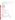Color/ Form/Odor: Barium is a lustrous, machinable metal which exists in nature only in combined form.

Soil sorption coefficient: Koc N/A; high mobility

Bioconcentration Factor: BCFs of 7-100 for marine animals, 1000 for marine plants, 2-20 for some crops.

Common Ores: sulfate- Barite; carbonate- Witherite

Solubilities (water):

 carbonate- 22 mg/L at 18 deg C chloride- 310 g/L at 0 deg C chromate- 3.4 mg/L at 16 deg C cyanide 800 g/L at 14 deg C nitrate- 87 g/L at 20 deg permanganate- 625 g/L at 11 deg sulfate- 2.2 mg/L at 18 deg C hydroxide- sol. in dil. acid peroxide- sol. in dil. acid

#### **Other Regulatory Information**

Monitoring:

-- For Ground Water Sources:

Initial Frequency-1 sample once every 3 years

Repeat Frequency-If no detections for 3 rounds, once every 9 years

-- For Surface Water Sources:

Initial Frequency-1 sample annually

Repeat Frequency-If no detections for 3 rounds, once every 9 years

-- Triggers - If detect at > 2 mg/L, sample quarterly.

#### **Analysis**

NTIS PB 91-231498 200.7 EPA 600/4-79-020 208.1; 208.2 Standard Methods 3113B

**Analysis**<br>Reference Source Method Number **Reference Source Method Number** 

 Electrodialysis **Treatment/Best Available Technologies**: Ion Exchange, Reverse Osmosis, Lime Softening,

 **Toxic Release Inventory - Releases to Water and Land, 1987 to 1993 (in pounds):** 

|                  | Water   | ∟and       |
|------------------|---------|------------|
| <b>TOTALS</b>    | 928.448 | 57,063,031 |
| Top Ten States * |         |            |